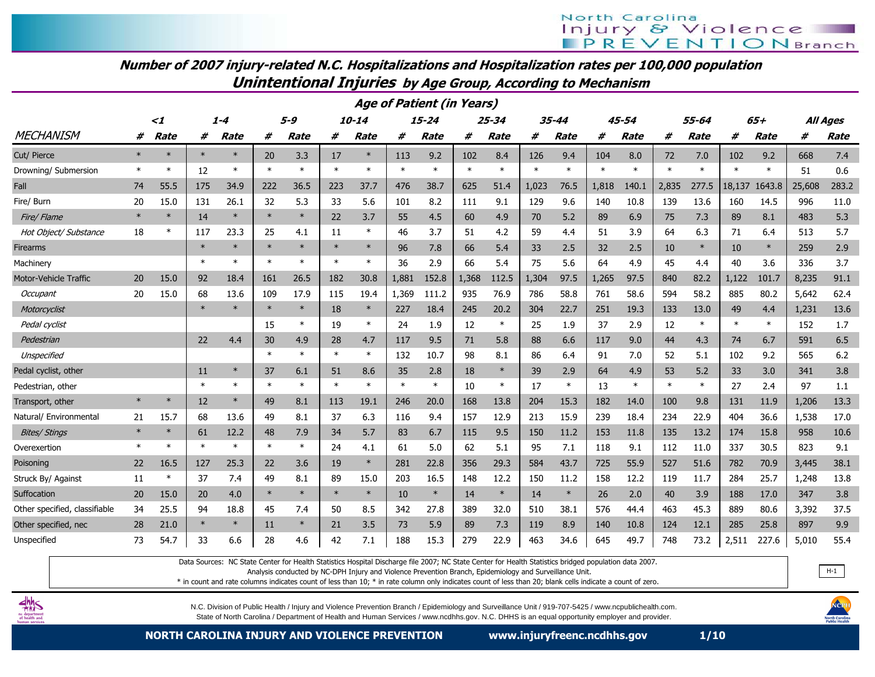# North Carolina **Injury & Violence**<br>**IPREVENTIONBranch**

#### Number of 2007 injury-related N.C. Hospitalizations and Hospitalization rates per 100,000 populationUnintentional Injuries by Age Group, According to Mechanism

|                               | <b>Age of Patient (in Years)</b> |             |        |             |         |        |        |        |        |           |        |           |        |             |        |             |        |        |        |             |        |                 |
|-------------------------------|----------------------------------|-------------|--------|-------------|---------|--------|--------|--------|--------|-----------|--------|-----------|--------|-------------|--------|-------------|--------|--------|--------|-------------|--------|-----------------|
|                               |                                  | $\leq$ 1    |        | $1 - 4$     | $5 - 9$ |        |        | 10-14  |        | $15 - 24$ |        | $25 - 34$ |        | 35-44       |        | $45 - 54$   | 55-64  |        |        | $65+$       |        | <b>All Ages</b> |
| <b>MECHANISM</b>              | #                                | <b>Rate</b> | #      | <b>Rate</b> | #       | Rate   | #      | Rate   | #      | Rate      | #      | Rate      | #      | <b>Rate</b> | #      | <b>Rate</b> | #      | Rate   | #      | <b>Rate</b> | #      | <b>Rate</b>     |
| Cut/ Pierce                   | $\ast$                           |             |        | $\ast$      | 20      | 3.3    | 17     | $\ast$ | 113    | 9.2       | 102    | 8.4       | 126    | 9.4         | 104    | 8.0         | 72     | 7.0    | 102    | 9.2         | 668    | 7.4             |
| Drowning/ Submersion          | $\ast$                           | $\ast$      | 12     | $\ast$      | $\ast$  | $\ast$ | $\ast$ | $\ast$ | $\ast$ | $\ast$    | $\ast$ | $\ast$    | $\ast$ | $\ast$      | $\ast$ | $\ast$      | $\ast$ | $\ast$ | $\ast$ | $\ast$      | 51     | 0.6             |
| Fall                          | 74                               | 55.5        | 175    | 34.9        | 222     | 36.5   | 223    | 37.7   | 476    | 38.7      | 625    | 51.4      | 1,023  | 76.5        | 1,818  | 140.1       | 2,835  | 277.5  | 18,137 | 1643.8      | 25,608 | 283.2           |
| Fire/ Burn                    | 20                               | 15.0        | 131    | 26.1        | 32      | 5.3    | 33     | 5.6    | 101    | 8.2       | 111    | 9.1       | 129    | 9.6         | 140    | 10.8        | 139    | 13.6   | 160    | 14.5        | 996    | 11.0            |
| Fire/ Flame                   | $\ast$                           | $\ast$      | 14     | $\ast$      | $\ast$  | $\ast$ | 22     | 3.7    | 55     | 4.5       | 60     | 4.9       | 70     | 5.2         | 89     | 6.9         | 75     | 7.3    | 89     | 8.1         | 483    | 5.3             |
| Hot Object/ Substance         | 18                               | $\ast$      | 117    | 23.3        | 25      | 4.1    | 11     | $\ast$ | 46     | 3.7       | 51     | 4.2       | 59     | 4.4         | 51     | 3.9         | 64     | 6.3    | 71     | 6.4         | 513    | 5.7             |
| Firearms                      |                                  |             | $\ast$ | $\ast$      | $\ast$  | $\ast$ | $\ast$ | $\ast$ | 96     | 7.8       | 66     | 5.4       | 33     | 2.5         | 32     | 2.5         | 10     | $\ast$ | 10     | $\ast$      | 259    | 2.9             |
| Machinery                     |                                  |             | $\ast$ | $\ast$      | $\ast$  | $\ast$ | $\ast$ | $\ast$ | 36     | 2.9       | 66     | 5.4       | 75     | 5.6         | 64     | 4.9         | 45     | 4.4    | 40     | 3.6         | 336    | 3.7             |
| <b>Motor-Vehicle Traffic</b>  | 20                               | 15.0        | 92     | 18.4        | 161     | 26.5   | 182    | 30.8   | 1,881  | 152.8     | 1,368  | 112.5     | 1,304  | 97.5        | 1.265  | 97.5        | 840    | 82.2   | 1.122  | 101.7       | 8,235  | 91.1            |
| Occupant                      | 20                               | 15.0        | 68     | 13.6        | 109     | 17.9   | 115    | 19.4   | 1,369  | 111.2     | 935    | 76.9      | 786    | 58.8        | 761    | 58.6        | 594    | 58.2   | 885    | 80.2        | 5,642  | 62.4            |
| Motorcyclist                  |                                  |             |        |             | $\ast$  | $\ast$ | 18     | $\ast$ | 227    | 18.4      | 245    | 20.2      | 304    | 22.7        | 251    | 19.3        | 133    | 13.0   | 49     | 4.4         | 1,231  | 13.6            |
| Pedal cyclist                 |                                  |             |        |             | 15      | $\ast$ | 19     | $\ast$ | 24     | 1.9       | 12     | $\ast$    | 25     | 1.9         | 37     | 2.9         | 12     | $\ast$ | $\ast$ | $\ast$      | 152    | 1.7             |
| Pedestrian                    |                                  |             | 22     | 4.4         | 30      | 4.9    | 28     | 4.7    | 117    | 9.5       | 71     | 5.8       | 88     | 6.6         | 117    | 9.0         | 44     | 4.3    | 74     | 6.7         | 591    | 6.5             |
| Unspecified                   |                                  |             |        |             | $\ast$  | $\ast$ | $\ast$ | $\ast$ | 132    | 10.7      | 98     | 8.1       | 86     | 6.4         | 91     | 7.0         | 52     | 5.1    | 102    | 9.2         | 565    | 6.2             |
| Pedal cyclist, other          |                                  |             | 11     | $\ast$      | 37      | 6.1    | 51     | 8.6    | 35     | 2.8       | 18     | $\ast$    | 39     | 2.9         | 64     | 4.9         | 53     | 5.2    | 33     | 3.0         | 341    | 3.8             |
| Pedestrian, other             |                                  |             | $\ast$ | $\ast$      | $\ast$  | $\ast$ | $\ast$ | $\ast$ | $\ast$ | $\ast$    | 10     | $\ast$    | 17     | $\ast$      | 13     | $\ast$      | $\ast$ | $\ast$ | 27     | 2.4         | 97     | 1.1             |
| Transport, other              | $\ast$                           | $\ast$      | 12     | $\ast$      | 49      | 8.1    | 113    | 19.1   | 246    | 20.0      | 168    | 13.8      | 204    | 15.3        | 182    | 14.0        | 100    | 9.8    | 131    | 11.9        | 1,206  | 13.3            |
| Natural/ Environmental        | 21                               | 15.7        | 68     | 13.6        | 49      | 8.1    | 37     | 6.3    | 116    | 9.4       | 157    | 12.9      | 213    | 15.9        | 239    | 18.4        | 234    | 22.9   | 404    | 36.6        | 1,538  | 17.0            |
| <b>Bites/ Stings</b>          | $\ast$                           | $\ast$      | 61     | 12.2        | 48      | 7.9    | 34     | 5.7    | 83     | 6.7       | 115    | 9.5       | 150    | 11.2        | 153    | 11.8        | 135    | 13.2   | 174    | 15.8        | 958    | 10.6            |
| Overexertion                  | $\ast$                           | $\ast$      | $\ast$ | $\ast$      | $\ast$  | $\ast$ | 24     | 4.1    | 61     | 5.0       | 62     | 5.1       | 95     | 7.1         | 118    | 9.1         | 112    | 11.0   | 337    | 30.5        | 823    | 9.1             |
| Poisoning                     | 22                               | 16.5        | 127    | 25.3        | 22      | 3.6    | 19     | $\ast$ | 281    | 22.8      | 356    | 29.3      | 584    | 43.7        | 725    | 55.9        | 527    | 51.6   | 782    | 70.9        | 3,445  | 38.1            |
| Struck By/ Against            | 11                               | $\ast$      | 37     | 7.4         | 49      | 8.1    | 89     | 15.0   | 203    | 16.5      | 148    | 12.2      | 150    | 11.2        | 158    | 12.2        | 119    | 11.7   | 284    | 25.7        | 1,248  | 13.8            |
| Suffocation                   | 20                               | 15.0        | 20     | 4.0         | $\ast$  | $\ast$ | $\ast$ | $\ast$ | 10     | $\ast$    | 14     | $\ast$    | 14     | $\ast$      | 26     | 2.0         | 40     | 3.9    | 188    | 17.0        | 347    | 3.8             |
| Other specified, classifiable | 34                               | 25.5        | 94     | 18.8        | 45      | 7.4    | 50     | 8.5    | 342    | 27.8      | 389    | 32.0      | 510    | 38.1        | 576    | 44.4        | 463    | 45.3   | 889    | 80.6        | 3,392  | 37.5            |
| Other specified, nec          | 28                               | 21.0        | $\ast$ | $\ast$      | 11      | $\ast$ | 21     | 3.5    | 73     | 5.9       | 89     | 7.3       | 119    | 8.9         | 140    | 10.8        | 124    | 12.1   | 285    | 25.8        | 897    | 9.9             |
| Unspecified                   | 73                               | 54.7        | 33     | 6.6         | 28      | 4.6    | 42     | 7.1    | 188    | 15.3      | 279    | 22.9      | 463    | 34.6        | 645    | 49.7        | 748    | 73.2   | 2,511  | 227.6       | 5,010  | 55.4            |

Data Sources: NC State Center for Health Statistics Hospital Discharge file 2007; NC State Center for Health Statistics bridged population data 2007.

Analysis conducted by NC-DPH Injury and Violence Prevention Branch, Epidemiology and Surveillance Unit.

\* in count and rate columns indicates count of less than 10; \* in rate column only indicates count of less than 20; blank cells indicate a count of zero.



N.C. Division of Public Health / Injury and Violence Prevention Branch / Epidemiology and Surveillance Unit / 919-707-5425 / www.ncpublichealth.com. State of North Carolina / Department of Health and Human Services / www.ncdhhs.gov. N.C. DHHS is an equal opportunity employer and provider.



 $H-1$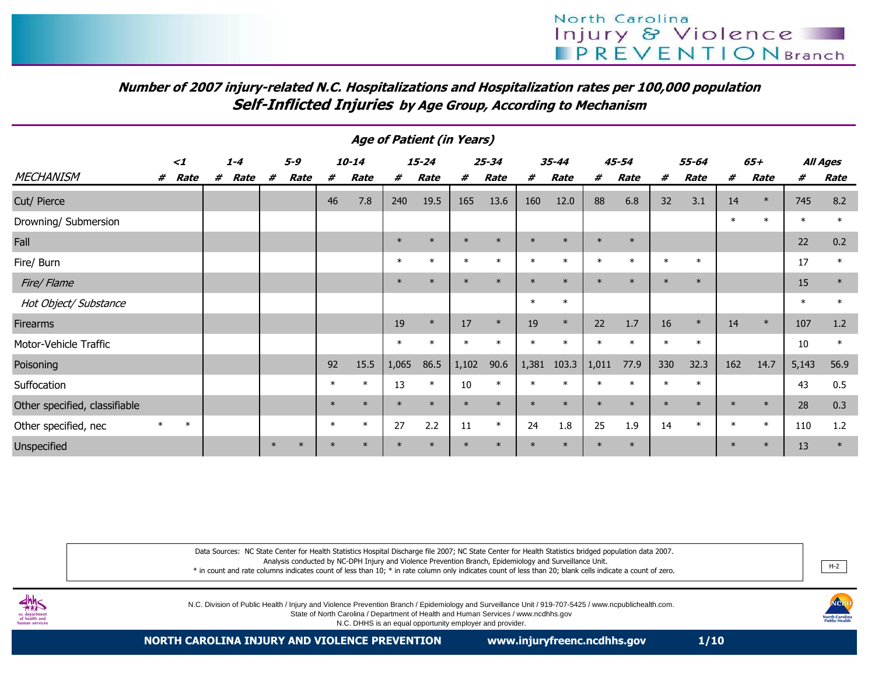# Number of 2007 injury-related N.C. Hospitalizations and Hospitalization rates per 100,000 populationSelf-Inflicted Injuries by Age Group, According to Mechanism

| <b>Age of Patient (in Years)</b> |        |        |   |         |        |         |        |           |        |           |        |           |        |        |        |             |         |        |        |        |        |          |
|----------------------------------|--------|--------|---|---------|--------|---------|--------|-----------|--------|-----------|--------|-----------|--------|--------|--------|-------------|---------|--------|--------|--------|--------|----------|
| $\leq$ 1                         |        |        |   | $1 - 4$ |        | $5 - 9$ |        | $10 - 14$ |        | $15 - 24$ |        | $25 - 34$ |        | 35-44  |        | 45-54       |         | 55-64  |        | $65+$  |        | All Ages |
| <b>MECHANISM</b>                 | #      | Rate   | # | Rate    | #      | Rate    | #      | Rate      | #      | Rate      | #      | Rate      | #      | Rate   | #      | <b>Rate</b> | #       | Rate   | #      | Rate   | #      | Rate     |
| Cut/ Pierce                      |        |        |   |         |        |         | 46     | 7.8       | 240    | 19.5      | 165    | 13.6      | 160    | 12.0   | 88     | 6.8         | 32      | 3.1    | 14     | $\ast$ | 745    | 8.2      |
| Drowning/ Submersion             |        |        |   |         |        |         |        |           |        |           |        |           |        |        |        |             |         |        | $\ast$ | $\ast$ | $\ast$ | $\ast$   |
| Fall                             |        |        |   |         |        |         |        |           | $\ast$ | $\ast$    | $\ast$ | $\ast$    | $\ast$ | $\ast$ | $\ast$ | $\ast$      |         |        |        |        | 22     | 0.2      |
| Fire/ Burn                       |        |        |   |         |        |         |        |           | $\ast$ | $\ast$    | $\ast$ | $\ast$    | $\ast$ | $\ast$ | $\ast$ | $\star$     | $\star$ | $\ast$ |        |        | 17     | $\ast$   |
| Fire/ Flame                      |        |        |   |         |        |         |        |           | $\ast$ |           | $\ast$ | $\ast$    | $\ast$ | $\ast$ | $\ast$ |             | $\ast$  | $\ast$ |        |        | 15     | $\ast$   |
| Hot Object/ Substance            |        |        |   |         |        |         |        |           |        |           |        |           | $\ast$ | $\ast$ |        |             |         |        |        |        | $\ast$ | $\ast$   |
| Firearms                         |        |        |   |         |        |         |        |           | 19     | $\ast$    | 17     | $\ast$    | 19     | $\ast$ | 22     | 1.7         | 16      | $\ast$ | 14     | $\ast$ | 107    | 1.2      |
| Motor-Vehicle Traffic            |        |        |   |         |        |         |        |           | $\ast$ | $\ast$    | $\ast$ | $\ast$    | $\ast$ | $\ast$ | $\ast$ |             | $\ast$  | $\ast$ |        |        | 10     | $\ast$   |
| Poisoning                        |        |        |   |         |        |         | 92     | 15.5      | 1,065  | 86.5      | 1,102  | 90.6      | 1,381  | 103.3  | 1,011  | 77.9        | 330     | 32.3   | 162    | 14.7   | 5,143  | 56.9     |
| Suffocation                      |        |        |   |         |        |         | $\ast$ | $\ast$    | 13     | $\ast$    | 10     | $\ast$    | $\ast$ | $\ast$ | $\ast$ |             | $\ast$  | $\ast$ |        |        | 43     | 0.5      |
| Other specified, classifiable    |        |        |   |         |        |         | $\ast$ | $\ast$    | $\ast$ | $\ast$    | $\ast$ | $\ast$    | $\ast$ | $\ast$ | $\ast$ |             | $\ast$  | $\ast$ | $\ast$ | $\ast$ | 28     | 0.3      |
| Other specified, nec             | $\ast$ | $\ast$ |   |         |        |         | $\ast$ | $\ast$    | 27     | 2.2       | 11     | $\ast$    | 24     | 1.8    | 25     | 1.9         | 14      | $\ast$ | $\ast$ | $\ast$ | 110    | 1.2      |
| Unspecified                      |        |        |   |         | $\ast$ | $\ast$  |        | $\ast$    | $\ast$ | $\ast$    | $\ast$ | $\ast$    | $\ast$ | $\ast$ | $\ast$ | $\ast$      |         |        | $\ast$ | $\ast$ | 13     | $\ast$   |

Data Sources: NC State Center for Health Statistics Hospital Discharge file 2007; NC State Center for Health Statistics bridged population data 2007. Analysis conducted by NC-DPH Injury and Violence Prevention Branch, Epidemiology and Surveillance Unit. \* in count and rate columns indicates count of less than 10; \* in rate column only indicates count of less than 20; blank cells indicate a count of zero.. <u>H-2</u>



N.C. Division of Public Health / Injury and Violence Prevention Branch / Epidemiology and Surveillance Unit / 919-707-5425 / www.ncpublichealth.com.

State of North Carolina / Department of Health and Human Services / www.ncdhhs.gov

N.C. DHHS is an equal opportunity employer and provider.

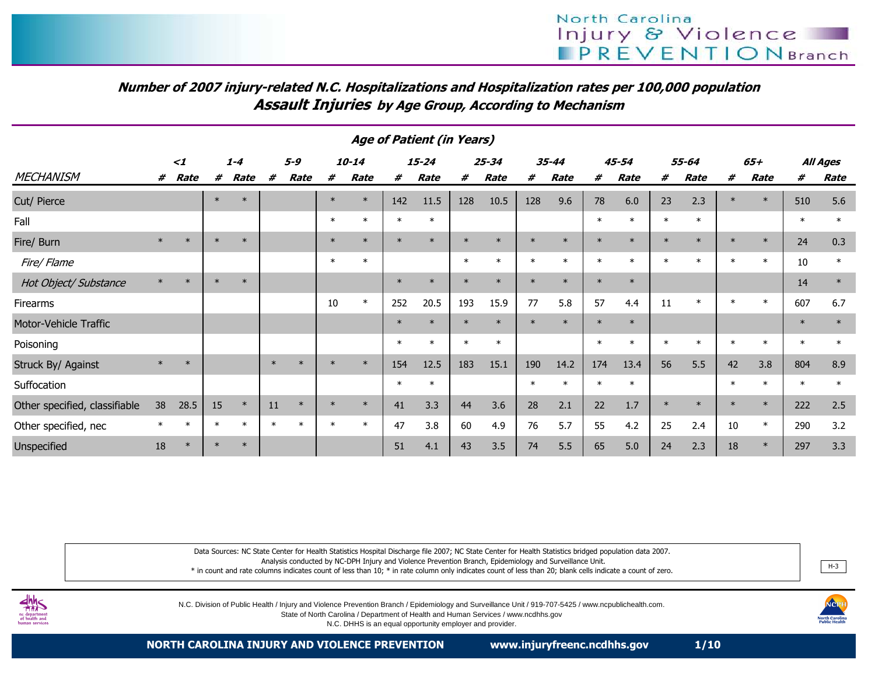# Number of 2007 injury-related N.C. Hospitalizations and Hospitalization rates per 100,000 populationAssault Injuries by Age Group, According to Mechanism

| <b>Age of Patient (in Years)</b> |          |        |        |         |        |         |        |           |        |           |         |                   |         |           |        |           |         |         |        |         |          |        |
|----------------------------------|----------|--------|--------|---------|--------|---------|--------|-----------|--------|-----------|---------|-------------------|---------|-----------|--------|-----------|---------|---------|--------|---------|----------|--------|
|                                  | $\leq$ 1 |        |        | $1 - 4$ |        | $5 - 9$ |        | $10 - 14$ |        | $15 - 24$ |         | $25 - 34$         |         | $35 - 44$ |        | $45 - 54$ |         | 55-64   |        | $65+$   | All Ages |        |
| <b>MECHANISM</b>                 | #        | Rate   | #      | Rate    | #      | Rate    | #      | Rate<br># |        | Rate      | #       | Rate<br>#<br>Rate |         | #         | Rate   | #         | Rate    | #       | Rate   | #       | Rate     |        |
| Cut/ Pierce                      |          |        | $\ast$ | $\ast$  |        |         | $\ast$ | $\ast$    | 142    | 11.5      | 128     | 10.5              | 128     | 9.6       | 78     | 6.0       | 23      | 2.3     |        | $\ast$  | 510      | 5.6    |
| Fall                             |          |        |        |         |        |         | $\ast$ | $\ast$    | $\ast$ | $\ast$    |         |                   |         |           | $\ast$ | $\ast$    | $\ast$  | $\ast$  |        |         | $\ast$   | $\ast$ |
| Fire/ Burn                       | $\ast$   | $\ast$ | $\ast$ | $\ast$  |        |         | $\ast$ | $\ast$    | $\ast$ | $\ast$    | $\ast$  | $\ast$            | $\ast$  | $\ast$    | $\ast$ | $\ast$    | $\ast$  | $\star$ | $\ast$ | $\ast$  | 24       | 0.3    |
| Fire/ Flame                      |          |        |        |         |        |         | $\ast$ | $\ast$    |        |           | $\ast$  | $\ast$            | $\star$ | $\ast$    | $\ast$ | $\star$   | $\star$ |         |        | $\ast$  | 10       | $\ast$ |
| Hot Object/ Substance            | $\ast$   | $\ast$ | $\ast$ | $\ast$  |        |         |        |           | $\ast$ | $\ast$    | $\star$ | $\ast$            |         | $\ast$    | $\ast$ | $\ast$    |         |         |        |         | 14       | $\ast$ |
| Firearms                         |          |        |        |         |        |         | 10     | $\ast$    | 252    | 20.5      | 193     | 15.9              | 77      | 5.8       | 57     | 4.4       | 11      | $\ast$  | $\ast$ | $\ast$  | 607      | 6.7    |
| Motor-Vehicle Traffic            |          |        |        |         |        |         |        |           | $\ast$ | $\ast$    | $\ast$  | $\ast$            |         | $\star$   | $\ast$ | $\ast$    |         |         |        |         | $\ast$   | $\ast$ |
| Poisoning                        |          |        |        |         |        |         |        |           | $\ast$ | $\ast$    | $\ast$  | $\ast$            |         |           | $\ast$ | $^\star$  | $\ast$  |         |        | $\star$ | $\ast$   | $\ast$ |
| Struck By/ Against               | $\ast$   | $\ast$ |        |         | $\ast$ | $\ast$  |        | $\ast$    | 154    | 12.5      | 183     | 15.1              | 190     | 14.2      | 174    | 13.4      | 56      | 5.5     | 42     | 3.8     | 804      | 8.9    |
| Suffocation                      |          |        |        |         |        |         |        |           | $\ast$ | $\ast$    |         |                   |         | $\star$   | $\ast$ | $\ast$    |         |         |        | $\ast$  | $\ast$   | $\ast$ |
| Other specified, classifiable    | 38       | 28.5   | 15     | $\ast$  | 11     | $\ast$  | $\ast$ | $\ast$    | 41     | 3.3       | 44      | 3.6               | 28      | 2.1       | 22     | 1.7       | $\ast$  |         | $\ast$ | $\ast$  | 222      | 2.5    |
| Other specified, nec             |          | $\ast$ | $\ast$ | $\ast$  | $\ast$ | $\ast$  | $\ast$ | $\ast$    | 47     | 3.8       | 60      | 4.9               | 76      | 5.7       | 55     | 4.2       | 25      | 2.4     | 10     | $\ast$  | 290      | 3.2    |
| Unspecified                      | 18       | $\ast$ | $\ast$ | $\ast$  |        |         |        |           | 51     | 4.1       | 43      | 3.5               | 74      | 5.5       | 65     | 5.0       | 24      | 2.3     | 18     | $\ast$  | 297      | 3.3    |

Data Sources: NC State Center for Health Statistics Hospital Discharge file 2007; NC State Center for Health Statistics bridged population data 2007. Analysis conducted by NC-DPH Injury and Violence Prevention Branch, Epidemiology and Surveillance Unit.

 \* in count and rate columns indicates count of less than 10; \* in rate column only indicates count of less than 20; blank cells indicate a count of zero.. He said the same state of the same state of the same state of the same state of the same state of the same s<br>He said the same state of the same state of the same state of the same state of the same state of the same stat



N.C. Division of Public Health / Injury and Violence Prevention Branch / Epidemiology and Surveillance Unit / 919-707-5425 / www.ncpublichealth.com.

State of North Carolina / Department of Health and Human Services / www.ncdhhs.gov

N.C. DHHS is an equal opportunity employer and provider.

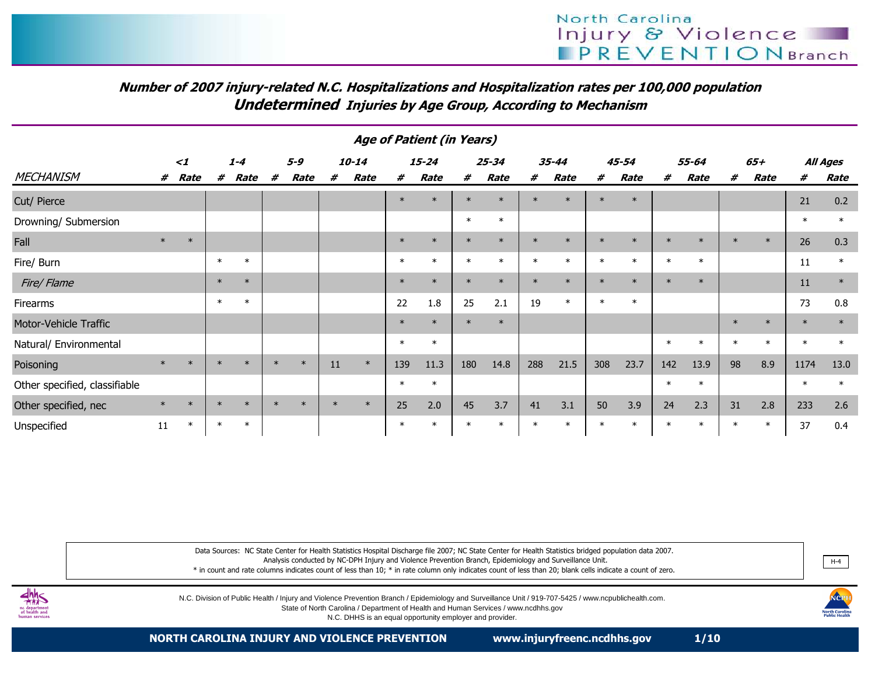# Number of 2007 injury-related N.C. Hospitalizations and Hospitalization rates per 100,000 populationUndetermined Injuries by Age Group, According to Mechanism

| <b>Age of Patient (in Years)</b> |        |        |        |         |        |        |        |           |         |           |        |           |        |           |        |         |        |        |        |        |        |          |
|----------------------------------|--------|--------|--------|---------|--------|--------|--------|-----------|---------|-----------|--------|-----------|--------|-----------|--------|---------|--------|--------|--------|--------|--------|----------|
| $\leq$ 1                         |        |        |        | $1 - 4$ |        | 5-9    |        | $10 - 14$ |         | $15 - 24$ |        | $25 - 34$ |        | $35 - 44$ |        | 45-54   |        | 55-64  |        | $65+$  |        | All Ages |
| <b>MECHANISM</b>                 | #      | Rate   | #      | Rate    | #      | Rate   | #      | Rate      | #       | Rate      | #      | Rate      | #      | Rate      | #      | Rate    | #      | Rate   | #      | Rate   | #      | Rate     |
| Cut/ Pierce                      |        |        |        |         |        |        |        |           | $\ast$  | $\ast$    | $\ast$ | $\ast$    | $\ast$ | $\ast$    | $\ast$ | $\ast$  |        |        |        |        | 21     | 0.2      |
| Drowning/ Submersion             |        |        |        |         |        |        |        |           |         |           | $\ast$ | $\ast$    |        |           |        |         |        |        |        |        | $\ast$ | $\ast$   |
| Fall                             | $\ast$ | $\ast$ |        |         |        |        |        |           | $\ast$  | $\ast$    | $\ast$ | $\ast$    | $\ast$ | $\ast$    | $\ast$ | $\ast$  | $\ast$ | $\ast$ | $\ast$ | $\ast$ | 26     | 0.3      |
| Fire/ Burn                       |        |        | $\ast$ | $\ast$  |        |        |        |           | $\ast$  | $\ast$    | $\ast$ | $\ast$    | $\ast$ | $\ast$    | $\ast$ | $\ast$  | $\ast$ | $\ast$ |        |        | 11     | $\ast$   |
| Fire/Flame                       |        |        | $\ast$ | $\ast$  |        |        |        |           | $\ast$  | $\ast$    | $\ast$ | $\ast$    | $\ast$ | $\ast$    | $\ast$ | $\ast$  | $\ast$ | $\ast$ |        |        | 11     | $\ast$   |
| Firearms                         |        |        | $\ast$ | $\ast$  |        |        |        |           | 22      | 1.8       | 25     | 2.1       | 19     | $\ast$    | $\ast$ | $\ast$  |        |        |        |        | 73     | 0.8      |
| Motor-Vehicle Traffic            |        |        |        |         |        |        |        |           | $\ast$  | $\ast$    | $\ast$ | $\ast$    |        |           |        |         |        |        | $\ast$ | $\ast$ | $\ast$ | $\ast$   |
| Natural/ Environmental           |        |        |        |         |        |        |        |           | $\ast$  | $\ast$    |        |           |        |           |        |         | $\ast$ | $\ast$ |        | $\ast$ | $\ast$ | $\ast$   |
| Poisoning                        | $\ast$ | $\ast$ | $\ast$ | $\ast$  | $\ast$ | $\ast$ | 11     | $\ast$    | 139     | 11.3      | 180    | 14.8      | 288    | 21.5      | 308    | 23.7    | 142    | 13.9   | 98     | 8.9    | 1174   | 13.0     |
| Other specified, classifiable    |        |        |        |         |        |        |        |           | $\ast$  | $\ast$    |        |           |        |           |        |         | $\ast$ | $\ast$ |        |        | $\ast$ | $\ast$   |
| Other specified, nec             | $\ast$ | $\ast$ | $\ast$ | $\ast$  | $\ast$ | $\ast$ | $\ast$ | $\ast$    | 25      | 2.0       | 45     | 3.7       | 41     | 3.1       | 50     | 3.9     | 24     | 2.3    | 31     | 2.8    | 233    | 2.6      |
| Unspecified                      | 11     | $\ast$ | $\ast$ | $\ast$  |        |        |        |           | $\star$ | $\ast$    | $\ast$ | $\ast$    | $\ast$ |           | $\ast$ | $\star$ | $\ast$ | $\ast$ | $\ast$ | $\ast$ | 37     | 0.4      |

Data Sources: NC State Center for Health Statistics Hospital Discharge file 2007; NC State Center for Health Statistics bridged population data 2007. Analysis conducted by NC-DPH Injury and Violence Prevention Branch, Epidemiology and Surveillance Unit. \* in count and rate columns indicates count of less than 10; \* in rate column only indicates count of less than 20; blank cells indicate a count of zero.

N.C. Division of Public Health / Injury and Violence Prevention Branch / Epidemiology and Surveillance Unit / 919-707-5425 / www.ncpublichealth.com.

State of North Carolina / Department of Health and Human Services / www.ncdhhs.govN.C. DHHS is an equal opportunity employer and provider.

H-4